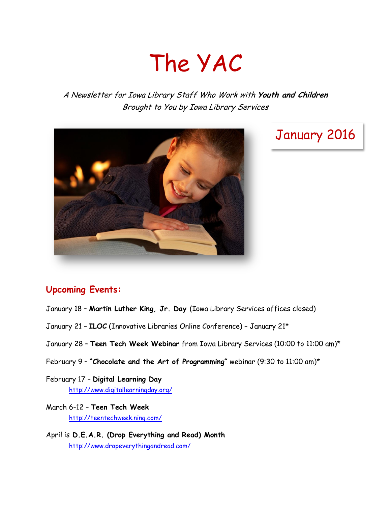# The YAC

A Newsletter for Iowa Library Staff Who Work with **Youth and Children** Brought to You by Iowa Library Services



# January 2016

## **Upcoming Events:**

- January 18 **Martin Luther King, Jr. Day** (Iowa Library Services offices closed)
- January 21 **ILOC** (Innovative Libraries Online Conference) January 21\*
- January 28 **Teen Tech Week Webinar** from Iowa Library Services (10:00 to 11:00 am)\*
- February 9 **"Chocolate and the Art of Programming"** webinar (9:30 to 11:00 am)\*
- February 17 **Digital Learning Day** <http://www.digitallearningday.org/>
- March 6-12 **Teen Tech Week** <http://teentechweek.ning.com/>
- April is **D.E.A.R. (Drop Everything and Read) Month** <http://www.dropeverythingandread.com/>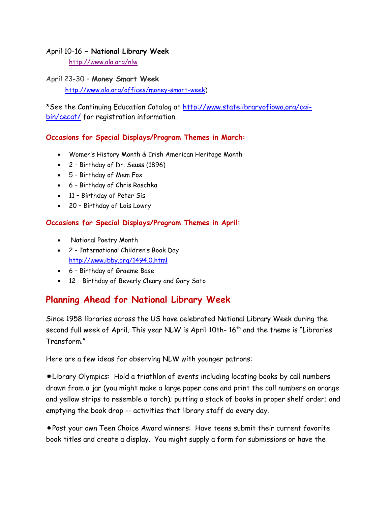#### April 10-16 **– National Library Week**

<http://www.ala.org/nlw>

April 23-30 – **Money Smart Week** [http://www.ala.org/offices/money-smart-week\)](http://www.ala.org/offices/money-smart-week)

\*See the Continuing Education Catalog at [http://www.statelibraryofiowa.org/cgi](http://www.statelibraryofiowa.org/cgi-bin/cecat/)[bin/cecat/](http://www.statelibraryofiowa.org/cgi-bin/cecat/) for registration information.

#### **Occasions for Special Displays/Program Themes in March:**

- Women's History Month & Irish American Heritage Month
- 2 Birthday of Dr. Seuss (1896)
- 5 Birthday of Mem Fox
- 6 Birthday of Chris Raschka
- 11 Birthday of Peter Sis
- 20 Birthday of Lois Lowry

#### **Occasions for Special Displays/Program Themes in April:**

- National Poetry Month
- 2 International Children's Book Day <http://www.ibby.org/1494.0.html>
- 6 Birthday of Graeme Base
- 12 Birthday of Beverly Cleary and Gary Soto

## **Planning Ahead for National Library Week**

Since 1958 libraries across the US have celebrated National Library Week during the second full week of April. This year NLW is April 10th-  $16<sup>th</sup>$  and the theme is "Libraries Transform."

Here are a few ideas for observing NLW with younger patrons:

Library Olympics: Hold a triathlon of events including locating books by call numbers drawn from a jar (you might make a large paper cone and print the call numbers on orange and yellow strips to resemble a torch); putting a stack of books in proper shelf order; and emptying the book drop -- activities that library staff do every day.

Post your own Teen Choice Award winners: Have teens submit their current favorite book titles and create a display. You might supply a form for submissions or have the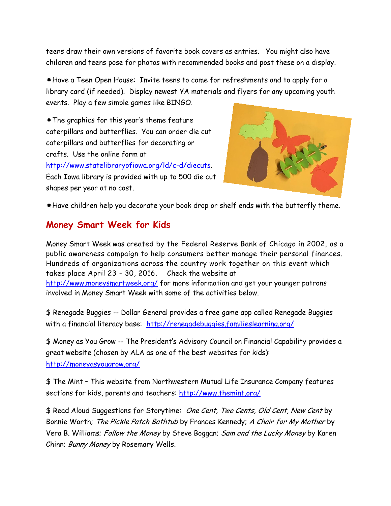teens draw their own versions of favorite book covers as entries. You might also have children and teens pose for photos with recommended books and post these on a display.

Have a Teen Open House: Invite teens to come for refreshments and to apply for a library card (if needed). Display newest YA materials and flyers for any upcoming youth events. Play a few simple games like BINGO.

The graphics for this year's theme feature caterpillars and butterflies. You can order die cut caterpillars and butterflies for decorating or crafts. Use the online form at [http://www.statelibraryofiowa.org/ld/c-d/diecuts.](http://www.statelibraryofiowa.org/ld/c-d/diecuts) Each Iowa library is provided with up to 500 die cut shapes per year at no cost.



Have children help you decorate your book drop or shelf ends with the butterfly theme.

#### **Money Smart Week for Kids**

Money Smart Week was created by the Federal Reserve Bank of Chicago in 2002, as a public awareness campaign to help consumers better manage their personal finances. Hundreds of organizations across the country work together on this event which takes place April 23 - 30, 2016. Check the website at <http://www.moneysmartweek.org/> for more information and get your younger patrons involved in Money Smart Week with some of the activities below.

\$ Renegade Buggies -- Dollar General provides a free game app called Renegade Buggies with a financial literacy base: <http://renegadebuggies.familieslearning.org/>

\$ Money as You Grow -- The President's Advisory Council on Financial Capability provides a great website (chosen by ALA as one of the best websites for kids): <http://moneyasyougrow.org/>

\$ The Mint – This website from Northwestern Mutual Life Insurance Company features sections for kids, parents and teachers:<http://www.themint.org/>

\$ Read Aloud Suggestions for Storytime: One Cent, Two Cents, Old Cent, New Cent by Bonnie Worth; The Pickle Patch Bathtub by Frances Kennedy; A Chair for My Mother by Vera B. Williams; Follow the Money by Steve Boggan; Sam and the Lucky Money by Karen Chinn; Bunny Money by Rosemary Wells.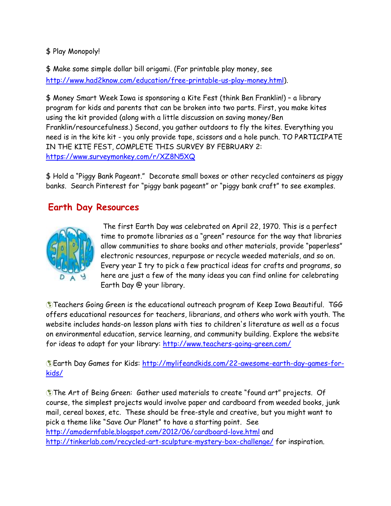\$ Play Monopoly!

\$ Make some simple dollar bill origami. (For printable play money, see [http://www.had2know.com/education/free-printable-us-play-money.html\)](http://www.had2know.com/education/free-printable-us-play-money.html).

\$ Money Smart Week Iowa is sponsoring a Kite Fest (think Ben Franklin!) – a library program for kids and parents that can be broken into two parts. First, you make kites using the kit provided (along with a little discussion on saving money/Ben Franklin/resourcefulness.) Second, you gather outdoors to fly the kites. Everything you need is in the kite kit - you only provide tape, scissors and a hole punch. TO PARTICIPATE IN THE KITE FEST, COMPLETE THIS SURVEY BY FEBRUARY 2: <https://www.surveymonkey.com/r/XZ8N5XQ>

\$ Hold a "Piggy Bank Pageant." Decorate small boxes or other recycled containers as piggy banks. Search Pinterest for "piggy bank pageant" or "piggy bank craft" to see examples.

## **Earth Day Resources**



The first Earth Day was celebrated on April 22, 1970. This is a perfect time to promote libraries as a "green" resource for the way that libraries allow communities to share books and other materials, provide "paperless" electronic resources, repurpose or recycle weeded materials, and so on. Every year I try to pick a few practical ideas for crafts and programs, so here are just a few of the many ideas you can find online for celebrating Earth Day @ your library.

**Teachers Going Green is the educational outreach program of Keep Iowa Beautiful. TGG** offers educational resources for teachers, librarians, and others who work with youth. The website includes hands-on lesson plans with ties to children's literature as well as a focus on environmental education, service learning, and community building. Explore the website for ideas to adapt for your library:<http://www.teachers-going-green.com/>

Earth Day Games for Kids: [http://mylifeandkids.com/22-awesome-earth-day-games-for](http://mylifeandkids.com/22-awesome-earth-day-games-for-kids/)[kids/](http://mylifeandkids.com/22-awesome-earth-day-games-for-kids/)

The Art of Being Green: Gather used materials to create "found art" projects. Of course, the simplest projects would involve paper and cardboard from weeded books, junk mail, cereal boxes, etc. These should be free-style and creative, but you might want to pick a theme like "Save Our Planet" to have a starting point. See <http://amodernfable.blogspot.com/2012/06/cardboard-love.html> and <http://tinkerlab.com/recycled-art-sculpture-mystery-box-challenge/> for inspiration.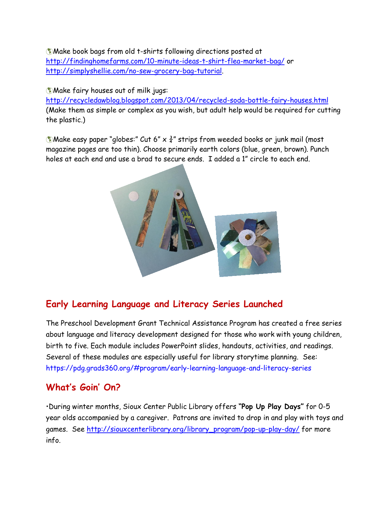Make book bags from old t-shirts following directions posted at <http://findinghomefarms.com/10-minute-ideas-t-shirt-flea-market-bag/> or [http://simplyshellie.com/no-sew-grocery-bag-tutorial.](http://simplyshellie.com/no-sew-grocery-bag-tutorial)

Make fairy houses out of milk jugs:

<http://recycledawblog.blogspot.com/2013/04/recycled-soda-bottle-fairy-houses.html> (Make them as simple or complex as you wish, but adult help would be required for cutting the plastic.)

**Wake easy paper "globes:" Cut 6" x**  $\frac{3}{4}$ **" strips from weeded books or junk mail (most)** magazine pages are too thin). Choose primarily earth colors (blue, green, brown). Punch holes at each end and use a brad to secure ends. I added a 1" circle to each end.



# **Early Learning Language and Literacy Series Launched**

The Preschool Development Grant Technical Assistance Program has created a free series about language and literacy development designed for those who work with young children, birth to five. Each module includes PowerPoint slides, handouts, activities, and readings. Several of these modules are especially useful for library storytime planning. See: <https://pdg.grads360.org/#program/early-learning-language-and-literacy-series>

#### **What's Goin' On?**

•During winter months, Sioux Center Public Library offers **"Pop Up Play Days"** for 0-5 year olds accompanied by a caregiver. Patrons are invited to drop in and play with toys and games. See [http://siouxcenterlibrary.org/library\\_program/pop-up-play-day/](http://siouxcenterlibrary.org/library_program/pop-up-play-day/) for more info.